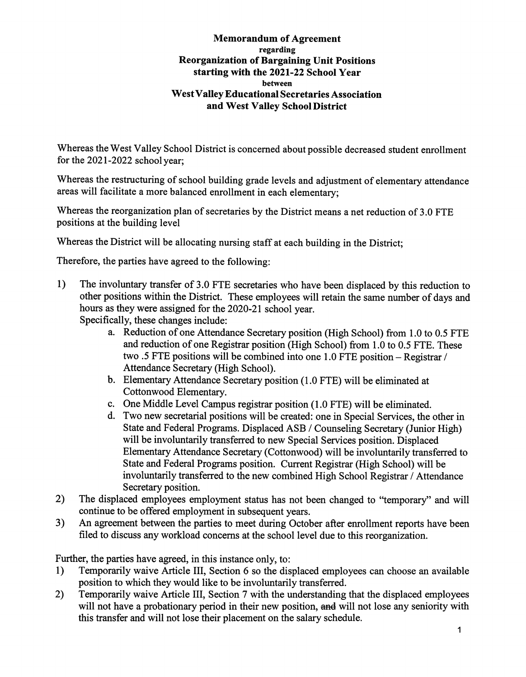## Memorandum of Agreement regarding Reorganization of Bargaining Unit Positions starting with the 2021-22 School Year between West Valley Educational Secretaries Association and West Valley School District

Whereas the West Valley School District is concerned about possible decreased student enrollment for the 2021-2022 school year;

Whereas the restructuring of school building grade levels and adjustment of elementary attendance areas will facilitate a more balanced enrollment in each elementary;

Whereas the reorganization plan of secretaries by the District means a net reduction of 3.0 FTE positions at the building level

Whereas the District will be allocating nursing staff at each building in the District;

Therefore, the parties have agreed to the following:

- 1) The involimtary transfer of 3.0 PTE secretaries who have been displaced by this reduction to other positions within the District. These employees will retain the same number of days and hours as they were assigned for the 2020-21 school year. Specifically, these changes include:
	- - a. Reduction of one Attendance Secretary position (High School) from 1.0 to 0.5 PTE and reduction of one Registrar position (High School) from 1.0 to 0.5 PTE. These two .5 PTE positions will be combined into one 1.0 PTE position - Registrar / Attendance Secretary (High School).
		- b. Elementary Attendance Secretary position (1.0 FTE) will be eliminated at Cottonwood Elementary.
		- c. One Middle Level Campus registrar position (1.0 PTE) will be eliminated.
		- d. Two new secretarial positions will be created: one in Special Services, the other in State and Pederal Programs. Displaced ASB / Counseling Secretary (Junior High) will be involuntarily transferred to new Special Services position. Displaced Elementary Attendance Secretary (Cottonwood) will be involuntarily transferred to State and Pederal Programs position. Current Registrar (High School) will be involuntarily transferred to the new combined High School Registrar / Attendance Secretary position.
- 2) The displaced employees employment status has not been changed to "temporary" and will continue to be offered employment in subsequent years.
- 3) An agreement between the parties to meet during October after enrollment reports have been filed to discuss any workload concerns at the school level due to this reorganization.

Further, the parties have agreed, in this instance only, to:

- 1) Temporarily waive Article III, Section 6 so the displaced employees can choose an available position to which they would like to be involuntarily transferred.
- 2) Temporarily waive Article III, Section 7 with the understanding that the displaced employees will not have a probationary period in their new position, and will not lose any seniority with this transfer and will not lose their placement on the salary schedule.